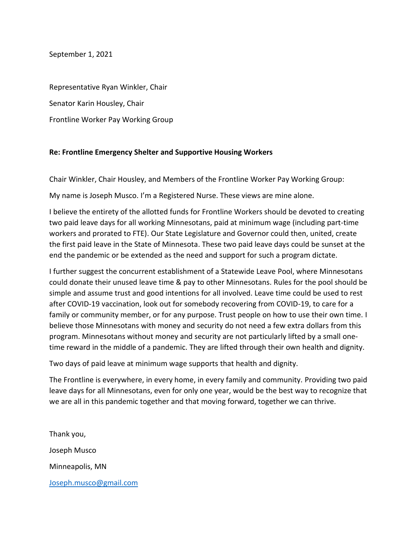September 1, 2021

Representative Ryan Winkler, Chair Senator Karin Housley, Chair Frontline Worker Pay Working Group

## **Re: Frontline Emergency Shelter and Supportive Housing Workers**

Chair Winkler, Chair Housley, and Members of the Frontline Worker Pay Working Group:

My name is Joseph Musco. I'm a Registered Nurse. These views are mine alone.

I believe the entirety of the allotted funds for Frontline Workers should be devoted to creating two paid leave days for all working Minnesotans, paid at minimum wage (including part-time workers and prorated to FTE). Our State Legislature and Governor could then, united, create the first paid leave in the State of Minnesota. These two paid leave days could be sunset at the end the pandemic or be extended as the need and support for such a program dictate.

I further suggest the concurrent establishment of a Statewide Leave Pool, where Minnesotans could donate their unused leave time & pay to other Minnesotans. Rules for the pool should be simple and assume trust and good intentions for all involved. Leave time could be used to rest after COVID-19 vaccination, look out for somebody recovering from COVID-19, to care for a family or community member, or for any purpose. Trust people on how to use their own time. I believe those Minnesotans with money and security do not need a few extra dollars from this program. Minnesotans without money and security are not particularly lifted by a small onetime reward in the middle of a pandemic. They are lifted through their own health and dignity.

Two days of paid leave at minimum wage supports that health and dignity.

The Frontline is everywhere, in every home, in every family and community. Providing two paid leave days for all Minnesotans, even for only one year, would be the best way to recognize that we are all in this pandemic together and that moving forward, together we can thrive.

Thank you, Joseph Musco Minneapolis, MN [Joseph.musco@gmail.com](mailto:Joseph.musco@gmail.com)